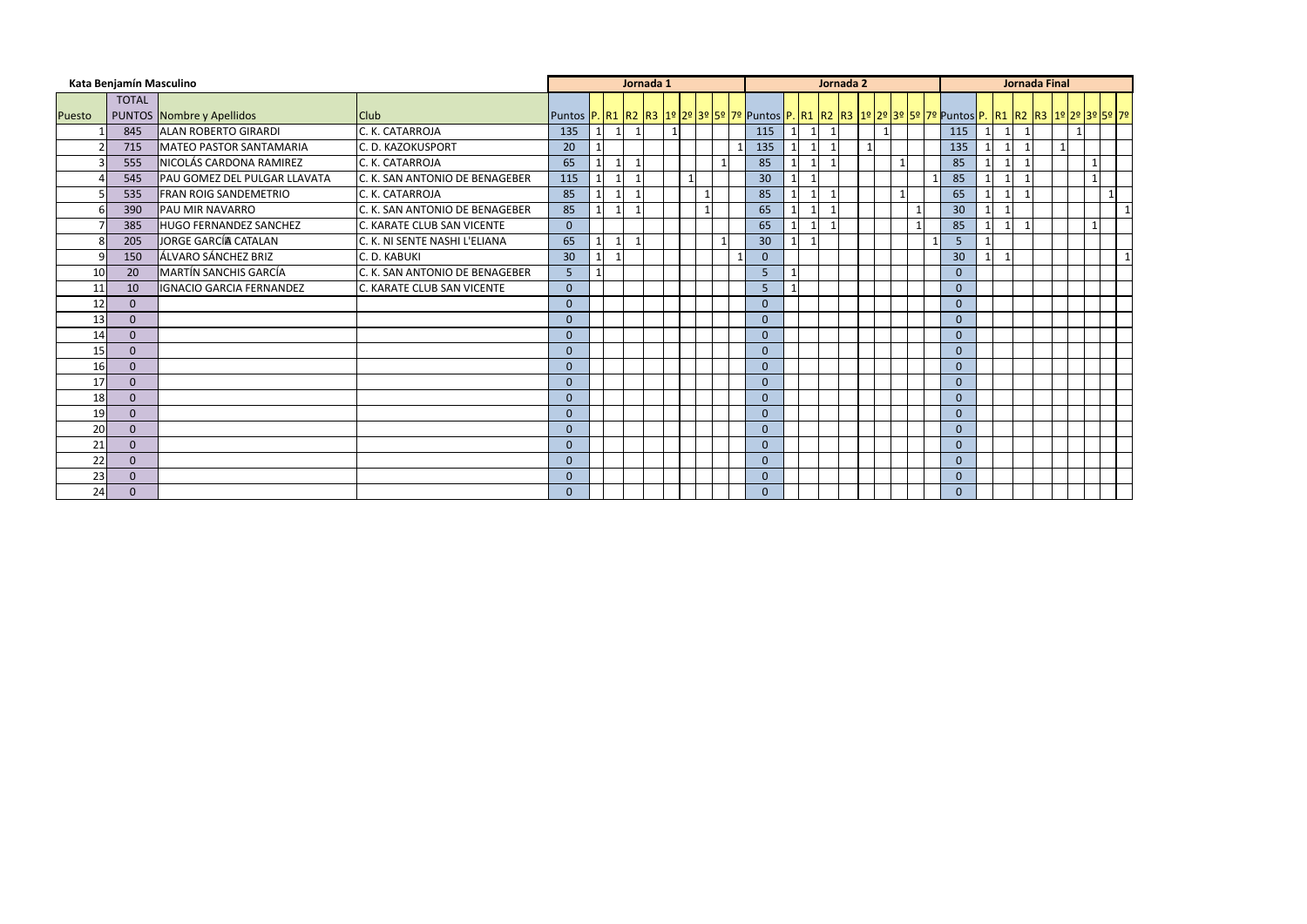|        | Kata Benjamín Masculino |                                 |                                |                                                                                                                                                  |   | Jornada 1      |              |              |  |                 |              |                         | Jornada 2 |    |              |                |              | <b>Jornada Final</b> |              |              |  |
|--------|-------------------------|---------------------------------|--------------------------------|--------------------------------------------------------------------------------------------------------------------------------------------------|---|----------------|--------------|--------------|--|-----------------|--------------|-------------------------|-----------|----|--------------|----------------|--------------|----------------------|--------------|--------------|--|
| Puesto | <b>TOTAL</b>            | PUNTOS Nombre y Apellidos       | <b>Club</b>                    | Puntos <mark> P.  R1  R2  R3  1º  2º  3º  5º  7º  </mark> Puntos  P.  R1  R2  R3  1º  2º  3º  5º  7º  Puntos  P.  R1  R2  R3  1º  2º  3º  5º  7º |   |                |              |              |  |                 |              |                         |           |    |              |                |              |                      |              |              |  |
|        | 845                     | <b>ALAN ROBERTO GIRARDI</b>     | C. K. CATARROJA                | 135                                                                                                                                              |   | $\overline{1}$ | $\mathbf{1}$ |              |  | 115             | $\mathbf{1}$ |                         |           |    |              | 115            |              |                      |              |              |  |
|        | 715                     | MATEO PASTOR SANTAMARIA         | C. D. KAZOKUSPORT              | 20                                                                                                                                               |   |                |              |              |  | 135             |              | $\mathbf 1$             |           | -1 |              | 135            |              |                      | $\mathbf{1}$ |              |  |
|        | 555                     | NICOLÁS CARDONA RAMIREZ         | C. K. CATARROJA                | 65                                                                                                                                               |   |                |              |              |  | 85              |              |                         |           |    |              | 85             |              |                      |              |              |  |
|        | 545                     | PAU GOMEZ DEL PULGAR LLAVATA    | C. K. SAN ANTONIO DE BENAGEBER | 115                                                                                                                                              | 1 |                |              | $\mathbf{1}$ |  | 30 <sup>°</sup> | $\mathbf{1}$ | $\overline{\mathbf{1}}$ |           |    |              | 85             | $\mathbf{1}$ |                      |              | $\sim$       |  |
|        | 535                     | <b>FRAN ROIG SANDEMETRIO</b>    | C. K. CATARROJA                | 85                                                                                                                                               |   |                |              |              |  | 85              |              | $\overline{\mathbf{1}}$ |           |    |              | 65             | $\mathbf{1}$ |                      |              |              |  |
|        | 390                     | PAU MIR NAVARRO                 | C. K. SAN ANTONIO DE BENAGEBER | 85                                                                                                                                               |   |                |              |              |  | 65              |              |                         |           |    |              | 30             |              |                      |              |              |  |
|        | 385                     | <b>HUGO FERNANDEZ SANCHEZ</b>   | C. KARATE CLUB SAN VICENTE     | $\mathbf{0}$                                                                                                                                     |   |                |              |              |  | 65              |              | $\overline{\mathbf{1}}$ |           |    | $\mathbf{1}$ | 85             | $\mathbf{1}$ |                      |              | $\mathbf{1}$ |  |
|        | 205                     | JORGE GARCÍA CATALAN            | C. K. NI SENTE NASHI L'ELIANA  | 65                                                                                                                                               | 1 | -1             |              |              |  | 30 <sup>°</sup> | $\mathbf 1$  | $\overline{\mathbf{1}}$ |           |    |              | 5              |              |                      |              |              |  |
|        | 150                     | ÁLVARO SÁNCHEZ BRIZ             | C. D. KABUKI                   | 30 <sup>°</sup>                                                                                                                                  |   |                |              |              |  | $\overline{0}$  |              |                         |           |    |              | 30             |              |                      |              |              |  |
| 10     | 20                      | <b>MARTÍN SANCHIS GARCÍA</b>    | C. K. SAN ANTONIO DE BENAGEBER | 5 <sub>o</sub>                                                                                                                                   |   |                |              |              |  | 5               |              |                         |           |    |              | $\overline{0}$ |              |                      |              |              |  |
| 11     | 10                      | <b>IGNACIO GARCIA FERNANDEZ</b> | C. KARATE CLUB SAN VICENTE     | $\Omega$                                                                                                                                         |   |                |              |              |  | 5               |              |                         |           |    |              | $\overline{0}$ |              |                      |              |              |  |
| 12     | $\Omega$                |                                 |                                | $\Omega$                                                                                                                                         |   |                |              |              |  | $\overline{0}$  |              |                         |           |    |              | $\Omega$       |              |                      |              |              |  |
| 13     | $\mathbf{0}$            |                                 |                                | $\Omega$                                                                                                                                         |   |                |              |              |  | $\overline{0}$  |              |                         |           |    |              | $\overline{0}$ |              |                      |              |              |  |
| 14     | $\overline{0}$          |                                 |                                | $\overline{0}$                                                                                                                                   |   |                |              |              |  | $\overline{0}$  |              |                         |           |    |              | $\overline{0}$ |              |                      |              |              |  |
| 15     | $\mathbf{0}$            |                                 |                                | $\overline{0}$                                                                                                                                   |   |                |              |              |  | $\overline{0}$  |              |                         |           |    |              | $\overline{0}$ |              |                      |              |              |  |
| 16     | $\mathbf{0}$            |                                 |                                | $\Omega$                                                                                                                                         |   |                |              |              |  | $\overline{0}$  |              |                         |           |    |              | $\overline{0}$ |              |                      |              |              |  |
| 17     | $\mathbf{0}$            |                                 |                                | $\overline{0}$                                                                                                                                   |   |                |              |              |  | $\overline{0}$  |              |                         |           |    |              | $\overline{0}$ |              |                      |              |              |  |
| 18     | $\mathbf{0}$            |                                 |                                | $\Omega$                                                                                                                                         |   |                |              |              |  | $\overline{0}$  |              |                         |           |    |              | $\Omega$       |              |                      |              |              |  |
| 19     | $\mathbf{0}$            |                                 |                                | $\Omega$                                                                                                                                         |   |                |              |              |  | $\mathbf{0}$    |              |                         |           |    |              | $\overline{0}$ |              |                      |              |              |  |
| 20     | $\Omega$                |                                 |                                | $\Omega$                                                                                                                                         |   |                |              |              |  | $\overline{0}$  |              |                         |           |    |              | $\Omega$       |              |                      |              |              |  |
| 21     | $\mathbf{0}$            |                                 |                                | $\overline{0}$                                                                                                                                   |   |                |              |              |  | $\overline{0}$  |              |                         |           |    |              | $\overline{0}$ |              |                      |              |              |  |
| 22     | $\mathbf{0}$            |                                 |                                | $\overline{0}$                                                                                                                                   |   |                |              |              |  | $\mathbf{0}$    |              |                         |           |    |              | $\overline{0}$ |              |                      |              |              |  |
| 23     | $\mathbf{0}$            |                                 |                                | $\overline{0}$                                                                                                                                   |   |                |              |              |  | $\mathbf{0}$    |              |                         |           |    |              | $\mathbf{0}$   |              |                      |              |              |  |
| 24     | $\mathbf{0}$            |                                 |                                | $\Omega$                                                                                                                                         |   |                |              |              |  | $\Omega$        |              |                         |           |    |              | $\Omega$       |              |                      |              |              |  |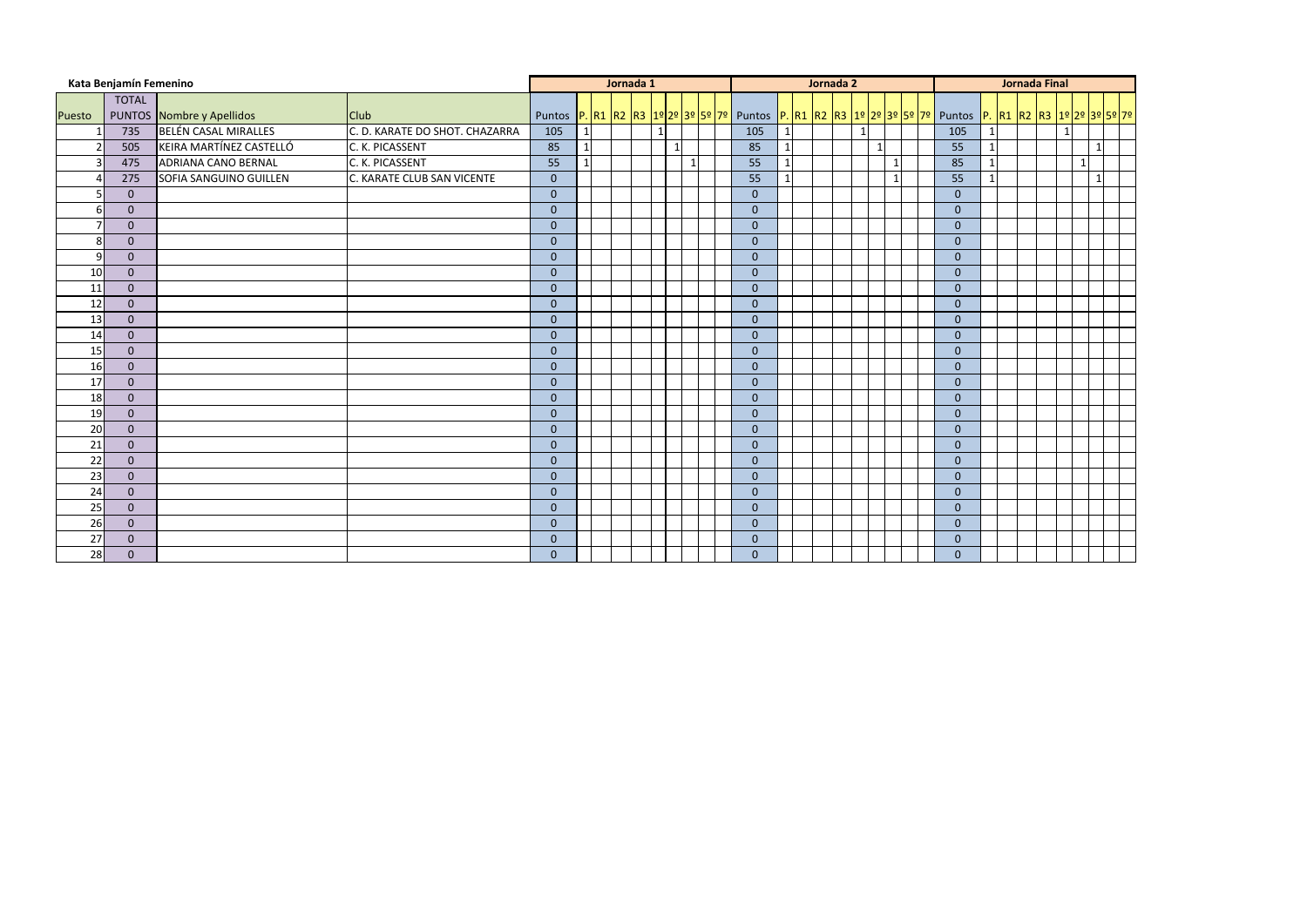|              | Kata Benjamín Femenino |                             |                                |                | Jornada 1 |              |              |                                                                                                       |              | Jornada 2 |                |           |  |                |  | <b>Jornada Final</b> |   |              |  |
|--------------|------------------------|-----------------------------|--------------------------------|----------------|-----------|--------------|--------------|-------------------------------------------------------------------------------------------------------|--------------|-----------|----------------|-----------|--|----------------|--|----------------------|---|--------------|--|
|              | <b>TOTAL</b>           |                             |                                |                |           |              |              |                                                                                                       |              |           |                |           |  |                |  |                      |   |              |  |
| Puesto       |                        | PUNTOS Nombre y Apellidos   | <b>Club</b>                    |                |           |              |              | Puntos P. R1 R2 R3 1º 2º 3º 5º 7º Puntos P. R1 R2 R3 1º 2º 3º 5º 7º Puntos P. R1 R2 R3 1º 2º 3º 5º 7º |              |           |                |           |  |                |  |                      |   |              |  |
|              | 735                    | <b>BELÉN CASAL MIRALLES</b> | C. D. KARATE DO SHOT. CHAZARRA | 105            |           | $\mathbf{1}$ |              | 105                                                                                                   | $\mathbf{1}$ |           | $\overline{1}$ |           |  | 105            |  |                      |   |              |  |
|              | 505                    | KEIRA MARTÍNEZ CASTELLÓ     | C. K. PICASSENT                | 85             |           |              |              | 85                                                                                                    | $\mathbf{1}$ |           |                |           |  | 55             |  |                      |   | $\mathbf{1}$ |  |
|              | 475                    | <b>ADRIANA CANO BERNAL</b>  | C. K. PICASSENT                | 55             |           |              | $\mathbf{1}$ | 55                                                                                                    | $\mathbf{1}$ |           |                | $\vert$ 1 |  | 85             |  |                      | 1 |              |  |
|              | 275                    | SOFIA SANGUINO GUILLEN      | C. KARATE CLUB SAN VICENTE     | $\overline{0}$ |           |              |              | 55                                                                                                    | $\vert$ 1    |           |                | $\vert$ 1 |  | 55             |  |                      |   | $\mathbf{1}$ |  |
|              | $\overline{0}$         |                             |                                | $\overline{0}$ |           |              |              | $\mathbf{0}$                                                                                          |              |           |                |           |  | $\overline{0}$ |  |                      |   |              |  |
| 6            | $\mathbf{0}$           |                             |                                | $\overline{0}$ |           |              |              | $\mathbf{0}$                                                                                          |              |           |                |           |  | $\overline{0}$ |  |                      |   |              |  |
|              | $\mathbf{0}$           |                             |                                | $\overline{0}$ |           |              |              | $\overline{0}$                                                                                        |              |           |                |           |  | $\overline{0}$ |  |                      |   |              |  |
| 8            | $\overline{0}$         |                             |                                | $\overline{0}$ |           |              |              | $\overline{0}$                                                                                        |              |           |                |           |  | $\overline{0}$ |  |                      |   |              |  |
| $\mathbf{q}$ | $\mathbf{0}$           |                             |                                | $\overline{0}$ |           |              |              | $\mathbf{0}$                                                                                          |              |           |                |           |  | $\overline{0}$ |  |                      |   |              |  |
| 10           | $\overline{0}$         |                             |                                | $\overline{0}$ |           |              |              | $\mathbf{0}$                                                                                          |              |           |                |           |  | $\overline{0}$ |  |                      |   |              |  |
| 11           | $\overline{0}$         |                             |                                | $\overline{0}$ |           |              |              | $\mathbf{0}$                                                                                          |              |           |                |           |  | $\overline{0}$ |  |                      |   |              |  |
| 12           | $\overline{0}$         |                             |                                | $\overline{0}$ |           |              |              | $\overline{0}$                                                                                        |              |           |                |           |  | $\overline{0}$ |  |                      |   |              |  |
| 13           | $\mathbf{0}$           |                             |                                | $\overline{0}$ |           |              |              | $\overline{0}$                                                                                        |              |           |                |           |  | $\overline{0}$ |  |                      |   |              |  |
| 14           | $\overline{0}$         |                             |                                | $\overline{0}$ |           |              |              | $\mathbf{0}$                                                                                          |              |           |                |           |  | $\overline{0}$ |  |                      |   |              |  |
| 15           | $\overline{0}$         |                             |                                | $\overline{0}$ |           |              |              | $\mathbf{0}$                                                                                          |              |           |                |           |  | $\overline{0}$ |  |                      |   |              |  |
| 16           | $\overline{0}$         |                             |                                | $\pmb{0}$      |           |              |              | $\mathbf{0}$                                                                                          |              |           |                |           |  | $\overline{0}$ |  |                      |   |              |  |
| 17           | $\overline{0}$         |                             |                                | $\overline{0}$ |           |              |              | $\overline{0}$                                                                                        |              |           |                |           |  | $\overline{0}$ |  |                      |   |              |  |
| 18           | $\mathbf{0}$           |                             |                                | $\pmb{0}$      |           |              |              | $\mathbf{0}$                                                                                          |              |           |                |           |  | $\mathbf{0}$   |  |                      |   |              |  |
| 19           | $\overline{0}$         |                             |                                | $\mathbf{0}$   |           |              |              | $\mathbf{0}$                                                                                          |              |           |                |           |  | $\mathbf{0}$   |  |                      |   |              |  |
| 20           | $\overline{0}$         |                             |                                | $\overline{0}$ |           |              |              | $\bf 0$                                                                                               |              |           |                |           |  | $\overline{0}$ |  |                      |   |              |  |
| 21           | $\overline{0}$         |                             |                                | $\overline{0}$ |           |              |              | $\overline{0}$                                                                                        |              |           |                |           |  | $\overline{0}$ |  |                      |   |              |  |
| 22           | $\mathbf{0}$           |                             |                                | $\overline{0}$ |           |              |              | $\mathbf{0}$                                                                                          |              |           |                |           |  | $\mathbf{0}$   |  |                      |   |              |  |
| 23           | $\mathbf{0}$           |                             |                                | $\pmb{0}$      |           |              |              | $\mathbf{0}$                                                                                          |              |           |                |           |  | $\mathbf{0}$   |  |                      |   |              |  |
| 24           | $\overline{0}$         |                             |                                | $\pmb{0}$      |           |              |              | $\mathbf{0}$                                                                                          |              |           |                |           |  | $\overline{0}$ |  |                      |   |              |  |
| 25           | $\overline{0}$         |                             |                                | $\overline{0}$ |           |              |              | $\overline{0}$                                                                                        |              |           |                |           |  | $\overline{0}$ |  |                      |   |              |  |
| 26           | $\mathbf{0}$           |                             |                                | $\overline{0}$ |           |              |              | $\mathbf{0}$                                                                                          |              |           |                |           |  | $\mathbf{0}$   |  |                      |   |              |  |
| 27           | $\mathbf{0}$           |                             |                                | $\overline{0}$ |           |              |              | $\mathbf{0}$                                                                                          |              |           |                |           |  | $\mathbf{0}$   |  |                      |   |              |  |
| 28           | $\overline{0}$         |                             |                                | $\overline{0}$ |           |              |              | $\overline{0}$                                                                                        |              |           |                |           |  | $\overline{0}$ |  |                      |   |              |  |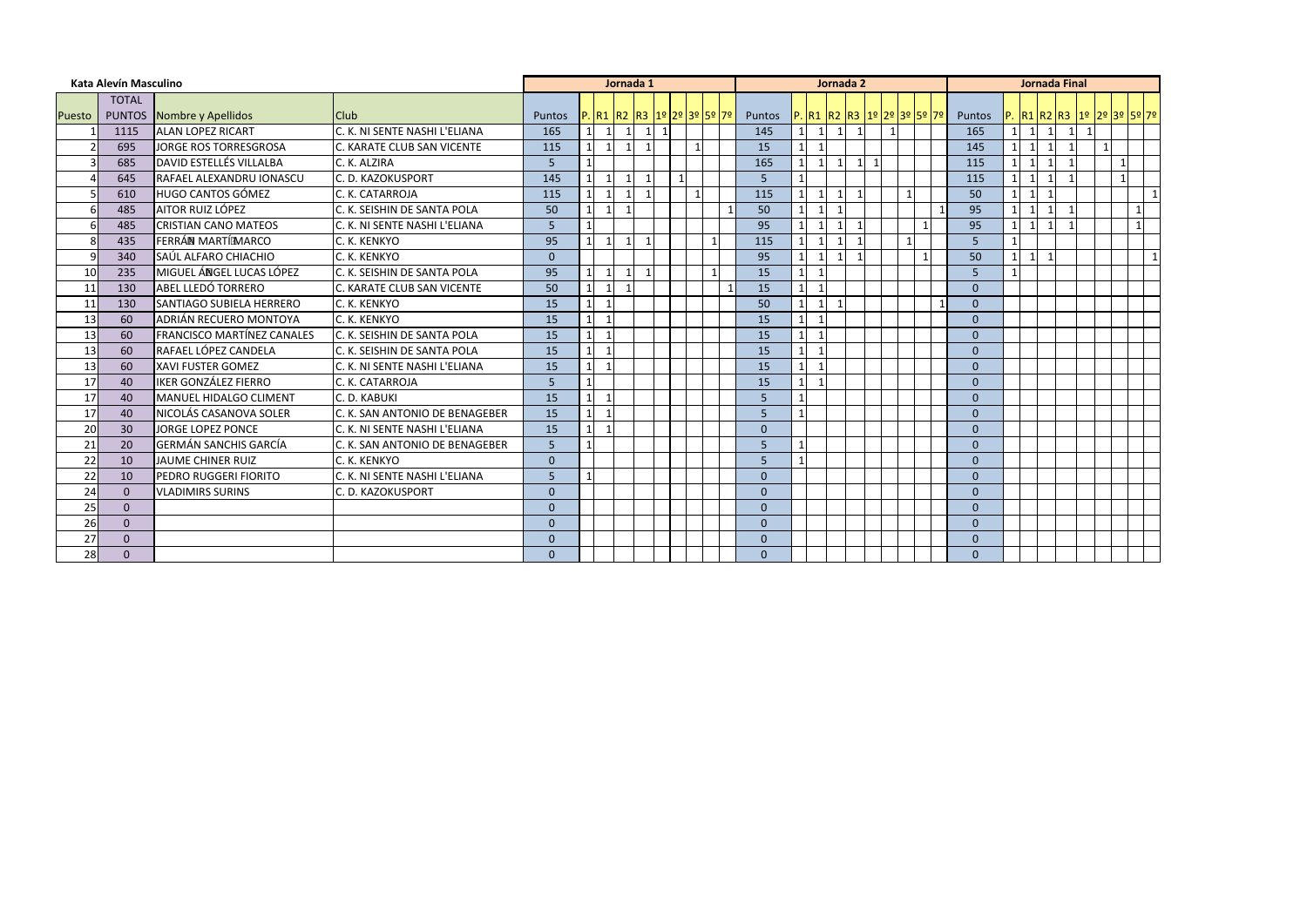|               | Kata Alevín Masculino |                                   |                                |               |                 |                          | Jornada 1    |                           |              |  |                |                |                                | Jornada 2               |                           |              |                |                         | <b>Jornada Final</b> |                                         |                            |                |                |
|---------------|-----------------------|-----------------------------------|--------------------------------|---------------|-----------------|--------------------------|--------------|---------------------------|--------------|--|----------------|----------------|--------------------------------|-------------------------|---------------------------|--------------|----------------|-------------------------|----------------------|-----------------------------------------|----------------------------|----------------|----------------|
|               | <b>TOTAL</b>          |                                   |                                |               |                 |                          |              |                           |              |  |                |                |                                |                         |                           |              |                |                         |                      |                                         |                            |                |                |
| <b>Puesto</b> | <b>PUNTOS</b>         | Nombre y Apellidos                | <b>Club</b>                    | <b>Puntos</b> |                 |                          |              | P.R1 R2 R3 1º 2º 3º 5º 7º |              |  | Puntos         |                |                                |                         | P.R1 R2 R3 1º 2º 3º 5º 7º |              | Puntos         |                         |                      |                                         | P. R1 R2 R3 1º 2º 3º 5º 7º |                |                |
|               | 1115                  | <b>ALAN LOPEZ RICART</b>          | C. K. NI SENTE NASHI L'ELIANA  | 165           | $1\vert$        | $\overline{1}$           | $\mathbf{1}$ | $\vert$ 1                 | $\vert$ 1    |  | 145            |                | $\overline{1}$<br>$\mathbf{1}$ | $\overline{1}$          |                           |              | 165            | $\overline{\mathbf{1}}$ | 1                    | $\overline{1}$                          | $\mathbf 1$<br>11          |                |                |
|               | 695                   | JORGE ROS TORRESGROSA             | C. KARATE CLUB SAN VICENTE     | 115           | $\mathbf{1}$    | $\overline{\phantom{a}}$ | $\mathbf{1}$ |                           |              |  | 15             |                |                                |                         |                           |              | 145            |                         | $\vert$ 1            |                                         |                            |                |                |
|               | 685                   | <b>DAVID ESTELLÉS VILLALBA</b>    | C. K. ALZIRA                   | 5             | 1 <sup>1</sup>  |                          |              |                           |              |  | 165            |                | $\overline{1}$                 | 1                       |                           |              | 115            |                         | 1                    |                                         |                            |                |                |
|               | 645                   | <b>RAFAEL ALEXANDRU IONASCU</b>   | C. D. KAZOKUSPORT              | 145           | $1\vert$        | $\overline{\mathbf{1}}$  | $\mathbf{1}$ | $\vert$ 1                 | $\mathbf{1}$ |  | 5 <sup>1</sup> | $\mathbf{1}$   |                                |                         |                           |              | 115            |                         | 1                    | $\overline{1}$                          |                            | $\overline{1}$ |                |
|               | 610                   | lhugo cantos gómez                | C. K. CATARROJA                | 115           | $\mathbf{1}$    |                          | -1           | -1                        |              |  | 115            |                |                                |                         |                           |              | 50             |                         | 1                    |                                         |                            |                | $\overline{1}$ |
|               | 485                   | <b>AITOR RUIZ LÓPEZ</b>           | C. K. SEISHIN DE SANTA POLA    | 50            | $1\vert$        | - 1                      | $\mathbf{1}$ |                           |              |  | 50             | 11             | $\overline{1}$                 |                         |                           |              | 95             |                         | 1                    | $\overline{\mathbf{1}}$<br>$\mathbf{1}$ |                            |                | 1              |
|               | 485                   | <b>CRISTIAN CANO MATEOS</b>       | C. K. NI SENTE NASHI L'ELIANA  | 5             | 1 <sup>1</sup>  |                          |              |                           |              |  | 95             |                |                                |                         |                           |              | 95             |                         | $\mathbf{1}$         |                                         |                            |                | $\mathbf{1}$   |
|               | 435                   | FERRÁN MARTÍ MARCO                | C. K. KENKYO                   | 95            | $1\vert$        | $\overline{\phantom{a}}$ | $\mathbf{1}$ | $\mathbf{1}$              |              |  | 115            | 11             | $\overline{1}$                 |                         |                           | $\mathbf{1}$ | 5 <sub>1</sub> |                         |                      |                                         |                            |                |                |
|               | 340                   | SAÚL ALFARO CHIACHIO              | C. K. KENKYO                   | $\Omega$      |                 |                          |              |                           |              |  | 95             | $\overline{1}$ | $\overline{1}$                 | $\overline{\mathbf{1}}$ |                           |              | 50             | $\mathbf{1}$            | 1                    | $\mathbf{1}$                            |                            |                | $\overline{1}$ |
| 10            | 235                   | MIGUEL ÁNGEL LUCAS LÓPEZ          | C. K. SEISHIN DE SANTA POLA    | 95            | $1\vert$        | -1                       | $\mathbf{1}$ |                           |              |  | 15             | $1\vert$       |                                |                         |                           |              | 5              |                         |                      |                                         |                            |                |                |
| 11            | 130                   | ABEL LLEDÓ TORRERO                | C. KARATE CLUB SAN VICENTE     | 50            | $1\vert$        | $\overline{\phantom{a}}$ |              |                           |              |  | 15             |                |                                |                         |                           |              | $\overline{0}$ |                         |                      |                                         |                            |                |                |
| 11            | 130                   | <b>SANTIAGO SUBIELA HERRERO</b>   | C. K. KENKYO                   | 15            | 1               | - 1                      |              |                           |              |  | 50             | 1              | $\mathbf{1}$                   |                         |                           |              | $\mathbf{0}$   |                         |                      |                                         |                            |                |                |
| 13            | 60                    | ADRIÁN RECUERO MONTOYA            | C. K. KENKYO                   | 15            | $1\mathsf{I}$   | - 1                      |              |                           |              |  | 15             | <u>11</u>      |                                |                         |                           |              | $\Omega$       |                         |                      |                                         |                            |                |                |
| 13            | 60                    | <b>FRANCISCO MARTÍNEZ CANALES</b> | C. K. SEISHIN DE SANTA POLA    | 15            | $1\overline{ }$ | $\overline{1}$           |              |                           |              |  | 15             | 11             | $\overline{1}$                 |                         |                           |              | $\mathbf{0}$   |                         |                      |                                         |                            |                |                |
| 13            | 60                    | RAFAEL LÓPEZ CANDELA              | C. K. SEISHIN DE SANTA POLA    | 15            | $1\vert$        | $\overline{\phantom{a}}$ |              |                           |              |  | 15             |                | $\overline{\mathbf{1}}$        |                         |                           |              | $\mathbf{0}$   |                         |                      |                                         |                            |                |                |
| 13            | 60                    | <b>XAVI FUSTER GOMEZ</b>          | C. K. NI SENTE NASHI L'ELIANA  | 15            | $1\vert$        | $\overline{\phantom{a}}$ |              |                           |              |  | 15             |                |                                |                         |                           |              | $\mathbf{0}$   |                         |                      |                                         |                            |                |                |
| 17            | 40                    | <b>IKER GONZÁLEZ FIERRO</b>       | C. K. CATARROJA                | 5             | $1\vert$        |                          |              |                           |              |  | 15             | 11             | $\mathbf{1}$                   |                         |                           |              | $\Omega$       |                         |                      |                                         |                            |                |                |
| 17            | 40                    | MANUEL HIDALGO CLIMENT            | C. D. KABUKI                   | 15            | $1\vert$        | $\overline{\phantom{a}}$ |              |                           |              |  | 5              |                |                                |                         |                           |              | $\mathbf{0}$   |                         |                      |                                         |                            |                |                |
| 17            | 40                    | NICOLÁS CASANOVA SOLER            | C. K. SAN ANTONIO DE BENAGEBER | 15            | $1\overline{ }$ | $\overline{1}$           |              |                           |              |  | 5 <sup>5</sup> | $\mathbf{1}$   |                                |                         |                           |              | $\mathbf{0}$   |                         |                      |                                         |                            |                |                |
| 20            | 30 <sup>°</sup>       | <b>JORGE LOPEZ PONCE</b>          | C. K. NI SENTE NASHI L'ELIANA  | 15            | 1 <sup>1</sup>  | - 1                      |              |                           |              |  | $\mathbf{0}$   |                |                                |                         |                           |              | $\mathbf{0}$   |                         |                      |                                         |                            |                |                |
| 21            | 20                    | IGERMÁN SANCHIS GARCÍA            | C. K. SAN ANTONIO DE BENAGEBER | 5             | 11              |                          |              |                           |              |  | 5 <sup>5</sup> | $\mathbf 1$    |                                |                         |                           |              | $\Omega$       |                         |                      |                                         |                            |                |                |
| 22            | 10                    | JAUME CHINER RUIZ                 | C. K. KENKYO                   | $\Omega$      |                 |                          |              |                           |              |  | $\overline{5}$ |                |                                |                         |                           |              | $\Omega$       |                         |                      |                                         |                            |                |                |
| 22            | 10                    | PEDRO RUGGERI FIORITO             | C. K. NI SENTE NASHI L'ELIANA  | 5             |                 |                          |              |                           |              |  | $\Omega$       |                |                                |                         |                           |              | $\Omega$       |                         |                      |                                         |                            |                |                |
| 24            | $\Omega$              | <b>VLADIMIRS SURINS</b>           | C. D. KAZOKUSPORT              | $\Omega$      |                 |                          |              |                           |              |  | $\Omega$       |                |                                |                         |                           |              | $\mathbf{0}$   |                         |                      |                                         |                            |                |                |
| 25            | $\mathbf{0}$          |                                   |                                | $\Omega$      |                 |                          |              |                           |              |  | $\overline{0}$ |                |                                |                         |                           |              | $\mathbf{0}$   |                         |                      |                                         |                            |                |                |
| 26            | $\Omega$              |                                   |                                | $\Omega$      |                 |                          |              |                           |              |  | $\Omega$       |                |                                |                         |                           |              | $\Omega$       |                         |                      |                                         |                            |                |                |
| 27            | $\Omega$              |                                   |                                | $\Omega$      |                 |                          |              |                           |              |  | $\Omega$       |                |                                |                         |                           |              | $\mathbf{0}$   |                         |                      |                                         |                            |                |                |
| 28            | $\theta$              |                                   |                                | $\Omega$      |                 |                          |              |                           |              |  | $\Omega$       |                |                                |                         |                           |              | $\mathbf{0}$   |                         |                      |                                         |                            |                |                |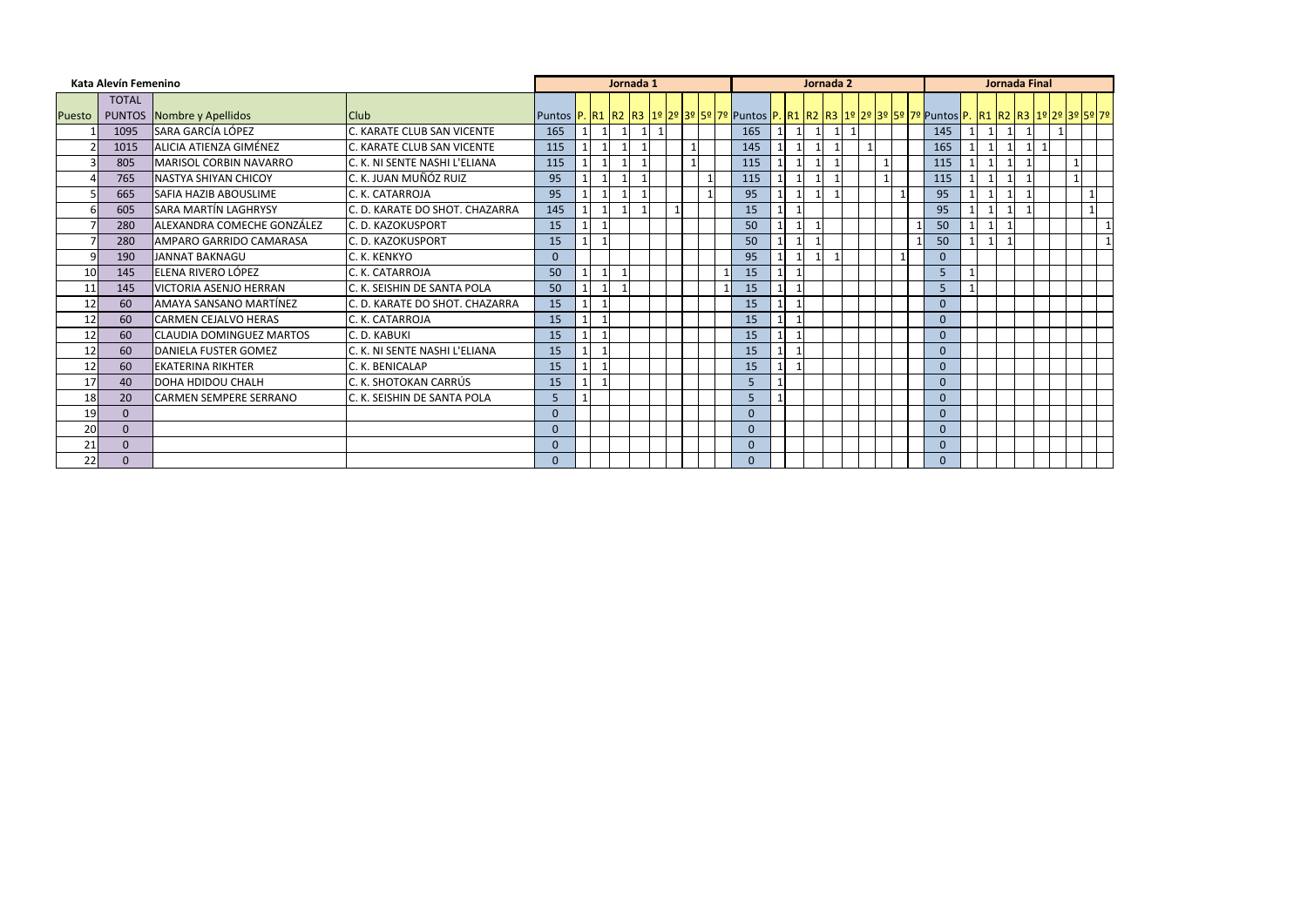|               | Kata Alevín Femenino |                                  |                                |                |                          | Jornada 1 |  |              |          |  | Jornada 2    |  |  |                                                                                                                                |  | Jornada Final  |              |              |
|---------------|----------------------|----------------------------------|--------------------------------|----------------|--------------------------|-----------|--|--------------|----------|--|--------------|--|--|--------------------------------------------------------------------------------------------------------------------------------|--|----------------|--------------|--------------|
|               | <b>TOTAL</b>         |                                  |                                |                |                          |           |  |              |          |  |              |  |  |                                                                                                                                |  |                |              |              |
| <b>Puesto</b> |                      | <b>PUNTOS</b> Nombre y Apellidos | IClub                          |                |                          |           |  |              |          |  |              |  |  | Puntos  P.  R1  R2  R3  1º  2º  3º  5º  7º  Puntos  P.  R1  R2  R3  1º  2º  3º  5º  7º  Puntos P.  R1  R2  R3  1º 2º  3º 5º 7º |  |                |              |              |
|               | 1095                 | SARA GARCÍA LÓPEZ                | C. KARATE CLUB SAN VICENTE     | 165            |                          |           |  |              | 165      |  | $\mathbf{1}$ |  |  | 145                                                                                                                            |  |                |              |              |
|               | 1015                 | <b>ALICIA ATIENZA GIMÉNEZ</b>    | C. KARATE CLUB SAN VICENTE     | 115            |                          |           |  |              | 145      |  |              |  |  | 165                                                                                                                            |  | $\mathsf{L}$ 1 |              |              |
|               | 805                  | MARISOL CORBIN NAVARRO           | C. K. NI SENTE NASHI L'ELIANA  | 115            |                          |           |  |              | 115      |  |              |  |  | 115                                                                                                                            |  |                | $\mathbf{1}$ |              |
|               | 765                  | INASTYA SHIYAN CHICOY            | C. K. JUAN MUÑÓZ RUIZ          | 95             |                          |           |  |              | 115      |  |              |  |  | 115                                                                                                                            |  |                | $\mathbf{1}$ |              |
|               | 665                  | <b>SAFIA HAZIB ABOUSLIME</b>     | C. K. CATARROJA                | 95             |                          |           |  | $\mathbf{1}$ | 95       |  |              |  |  | 95                                                                                                                             |  |                |              |              |
|               | 605                  | <b>SARA MARTÍN LAGHRYSY</b>      | C. D. KARATE DO SHOT. CHAZARRA | 145            | -1                       |           |  |              | 15       |  |              |  |  | 95                                                                                                                             |  |                |              |              |
|               | 280                  | ALEXANDRA COMECHE GONZÁLEZ       | C. D. KAZOKUSPORT              | 15             | $\overline{\phantom{a}}$ |           |  |              | 50       |  |              |  |  | 50                                                                                                                             |  |                |              | $\mathbf{1}$ |
|               | 280                  | AMPARO GARRIDO CAMARASA          | C. D. KAZOKUSPORT              | 15             |                          |           |  |              | 50       |  |              |  |  | 50                                                                                                                             |  |                |              |              |
| 9             | 190                  | <b>JANNAT BAKNAGU</b>            | C. K. KENKYO                   | $\mathbf{0}$   |                          |           |  |              | 95       |  |              |  |  | $\mathbf{0}$                                                                                                                   |  |                |              |              |
| 10            | 145                  | ELENA RIVERO LÓPEZ               | C. K. CATARROJA                | 50             |                          |           |  |              | 15       |  |              |  |  | 5                                                                                                                              |  |                |              |              |
| 11            | 145                  | <b>VICTORIA ASENJO HERRAN</b>    | C. K. SEISHIN DE SANTA POLA    | 50             |                          |           |  |              | 15       |  |              |  |  | 5                                                                                                                              |  |                |              |              |
| 12            | 60                   | <b>AMAYA SANSANO MARTÍNEZ</b>    | C. D. KARATE DO SHOT. CHAZARRA | 15             |                          |           |  |              | 15       |  |              |  |  | $\Omega$                                                                                                                       |  |                |              |              |
| 12            | 60                   | <b>CARMEN CEJALVO HERAS</b>      | C. K. CATARROJA                | 15             |                          |           |  |              | 15       |  |              |  |  | $\Omega$                                                                                                                       |  |                |              |              |
| 12            | 60                   | <b>CLAUDIA DOMINGUEZ MARTOS</b>  | C. D. KABUKI                   | 15             |                          |           |  |              | 15       |  |              |  |  | $\Omega$                                                                                                                       |  |                |              |              |
| 12            | 60                   | <b>DANIELA FUSTER GOMEZ</b>      | C. K. NI SENTE NASHI L'ELIANA  | 15             |                          |           |  |              | 15       |  |              |  |  | $\mathbf{0}$                                                                                                                   |  |                |              |              |
| 12            | 60                   | <b>EKATERINA RIKHTER</b>         | C. K. BENICALAP                | 15             |                          |           |  |              | 15       |  |              |  |  | $\mathbf{0}$                                                                                                                   |  |                |              |              |
| 17            | 40                   | <b>DOHA HDIDOU CHALH</b>         | C. K. SHOTOKAN CARRÚS          | 15             |                          |           |  |              | 5        |  |              |  |  | $\mathbf{0}$                                                                                                                   |  |                |              |              |
| 18            | 20                   | <b>CARMEN SEMPERE SERRANO</b>    | C. K. SEISHIN DE SANTA POLA    | 5              |                          |           |  |              | 5        |  |              |  |  | $\mathbf{0}$                                                                                                                   |  |                |              |              |
| 19            | $\Omega$             |                                  |                                | $\Omega$       |                          |           |  |              | $\theta$ |  |              |  |  | $\mathbf{0}$                                                                                                                   |  |                |              |              |
| 20            | $\Omega$             |                                  |                                | $\Omega$       |                          |           |  |              | $\theta$ |  |              |  |  | $\Omega$                                                                                                                       |  |                |              |              |
| 21            | $\Omega$             |                                  |                                | $\mathbf{0}$   |                          |           |  |              | $\Omega$ |  |              |  |  | $\Omega$                                                                                                                       |  |                |              |              |
| 22            | 0                    |                                  |                                | $\overline{0}$ |                          |           |  |              | $\Omega$ |  |              |  |  | $\Omega$                                                                                                                       |  |                |              |              |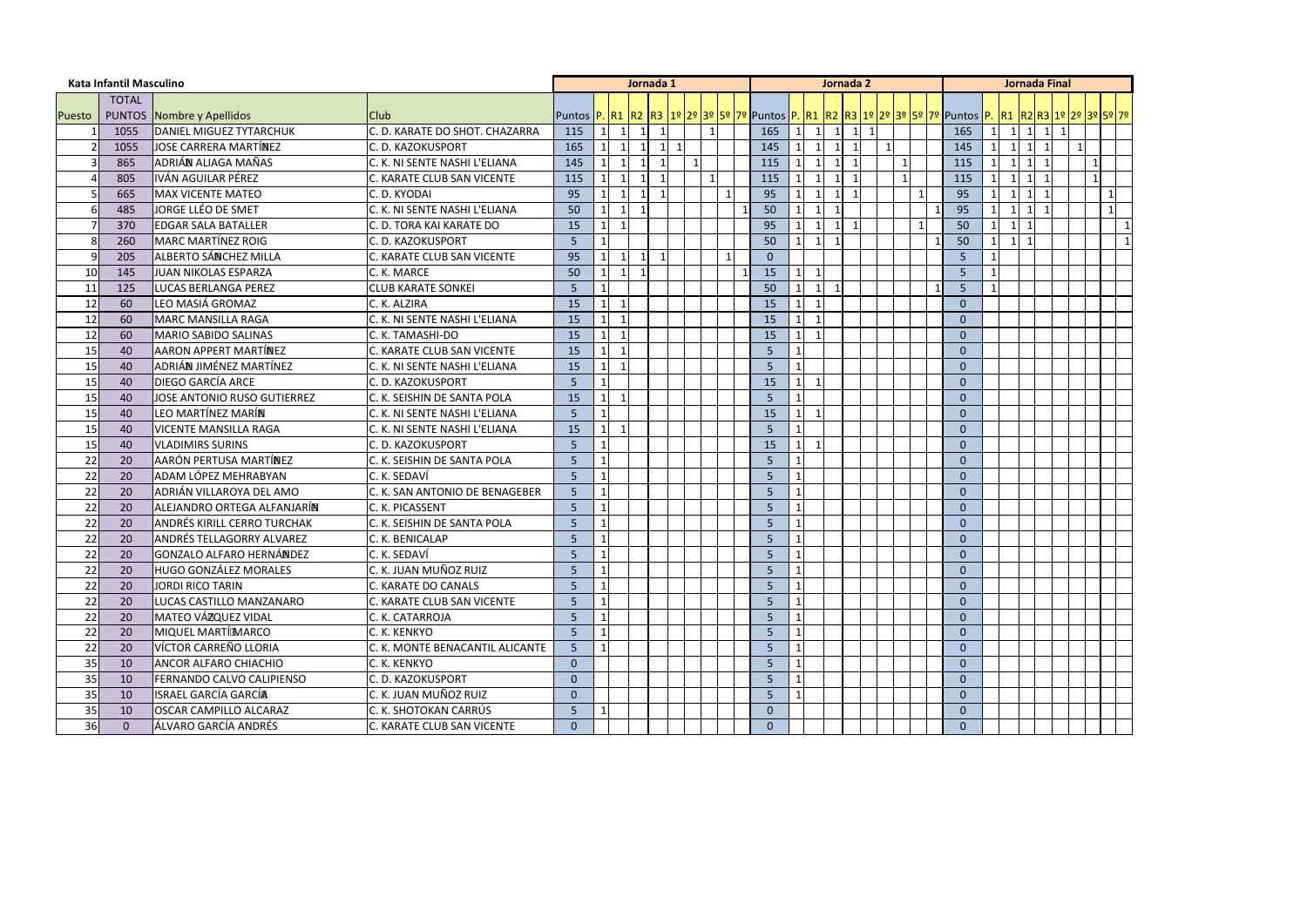|               | Kata Infantil Masculino |                                  |                                 |                                                                                                                                                 |              | Jornada 1      |                         |     |             |              |              |                         |                | Jornada 2                         |  |   |                |                |                | <b>Jornada Final</b> |              |              |
|---------------|-------------------------|----------------------------------|---------------------------------|-------------------------------------------------------------------------------------------------------------------------------------------------|--------------|----------------|-------------------------|-----|-------------|--------------|--------------|-------------------------|----------------|-----------------------------------|--|---|----------------|----------------|----------------|----------------------|--------------|--------------|
|               | <b>TOTAL</b>            |                                  |                                 |                                                                                                                                                 |              |                |                         |     |             |              |              |                         |                |                                   |  |   |                |                |                |                      |              |              |
| <b>Puesto</b> |                         | <b>PUNTOS Nombre y Apellidos</b> | Club                            | Puntos <mark> P.  R1  R2  R3  1º  2º  3º  5º  7º</mark>  Puntos  P.  R1  R2  R3  1º  2º  3º  5º  7º  Puntos  P.  R1  R2  R3  1º  2º  3º  5º  7º |              |                |                         |     |             |              |              |                         |                |                                   |  |   |                |                |                |                      |              |              |
|               | 1055                    | <b>DANIEL MIGUEZ TYTARCHUK</b>   | C. D. KARATE DO SHOT. CHAZARRA  | 115                                                                                                                                             |              | $\overline{1}$ | $\overline{1}$          |     |             | 165          | 1            | $\overline{1}$          |                | $\mathbf{1}$<br>$1 \vert 1 \vert$ |  |   | 165            | $\mathbf{1}$   | $\vert$ 1      | 1                    |              |              |
|               | 1055                    | JOSE CARRERA MARTÍNEZ            | C. D. KAZOKUSPORT               | 165                                                                                                                                             |              |                | $\mathbf{1}$            | - 1 |             | 145          | $\mathbf{1}$ |                         | $\mathbf{1}$   | $\mathbf{1}$                      |  |   | 145            | $\mathbf{1}$   | $\vert$ 1      | -1                   |              |              |
|               | 865                     | ADRIÁN ALIAGA MAÑAS              | C. K. NI SENTE NASHI L'ELIANA   | 145                                                                                                                                             |              |                |                         |     |             | 115          |              |                         |                | -1                                |  |   | 115            |                | $\mathbf{1}$   |                      | $\mathbf{1}$ |              |
|               | 805                     | IVÁN AGUILAR PÉREZ               | C. KARATE CLUB SAN VICENTE      | 115                                                                                                                                             |              |                |                         |     |             | 115          | 1            | $\vert$ 1               | $\overline{1}$ | $\overline{1}$                    |  |   | 115            | $\overline{1}$ | $\vert$ 1      | - 1                  | $\mathbf{1}$ |              |
|               | 665                     | <b>MAX VICENTE MATEO</b>         | C. D. KYODAI                    | 95                                                                                                                                              |              |                |                         |     |             | 95           |              |                         | -1             |                                   |  |   | 95             |                | $\mathbf 1$    |                      |              | 1            |
|               | 485                     | JORGE LLÉO DE SMET               | C. K. NI SENTE NASHI L'ELIANA   | 50                                                                                                                                              |              | -1             |                         |     |             | 50           | 1            | $\overline{1}$          | $\mathbf{1}$   |                                   |  |   | 95             |                | $\vert$ 1      |                      |              | $\mathbf{1}$ |
|               | 370                     | <b>EDGAR SALA BATALLER</b>       | C. D. TORA KAI KARATE DO        | 15                                                                                                                                              |              |                |                         |     |             | 95           |              |                         | -1             | -1                                |  |   | 50             | $\mathbf 1$    | -1             |                      |              | $\mathbf{1}$ |
|               | 260                     | MARC MARTÍNEZ ROIG               | C. D. KAZOKUSPORT               | 5 <sup>1</sup>                                                                                                                                  |              |                |                         |     |             | 50           | $1\vert$     | $\overline{1}$          | $\mathbf{1}$   |                                   |  | 1 | 50             | 11             | $\overline{1}$ |                      |              | $\vert$ 1    |
|               | 205                     | ALBERTO SÁNCHEZ MILLA            | C. KARATE CLUB SAN VICENTE      | 95                                                                                                                                              |              | -1             | $\overline{\mathbf{1}}$ |     | $\mathbf 1$ | $\mathbf{0}$ |              |                         |                |                                   |  |   | 5              |                |                |                      |              |              |
| 10            | 145                     | JUAN NIKOLAS ESPARZA             | C. K. MARCE                     | 50                                                                                                                                              |              |                |                         |     |             | 15           | 1            |                         |                |                                   |  |   | 5              |                |                |                      |              |              |
| 11            | 125                     | LUCAS BERLANGA PEREZ             | <b>CLUB KARATE SONKEI</b>       | 5                                                                                                                                               |              |                |                         |     |             | 50           |              | $\overline{1}$          | $\overline{1}$ |                                   |  | 1 | 5              |                |                |                      |              |              |
| 12            | 60                      | LEO MASIÁ GROMAZ                 | C. K. ALZIRA                    | 15                                                                                                                                              |              |                |                         |     |             | 15           | $1\vert$     | $\overline{1}$          |                |                                   |  |   | $\Omega$       |                |                |                      |              |              |
| 12            | 60                      | <b>MARC MANSILLA RAGA</b>        | C. K. NI SENTE NASHI L'ELIANA   | 15                                                                                                                                              |              |                |                         |     |             | 15           |              |                         |                |                                   |  |   | 0              |                |                |                      |              |              |
| 12            | 60                      | MARIO SABIDO SALINAS             | C. K. TAMASHI-DO                | 15                                                                                                                                              |              |                |                         |     |             | 15           | 1            | $\overline{\mathbf{1}}$ |                |                                   |  |   | $\Omega$       |                |                |                      |              |              |
| 15            | 40                      | <b>AARON APPERT MARTÍNEZ</b>     | C. KARATE CLUB SAN VICENTE      | 15                                                                                                                                              |              |                |                         |     |             | 5            | $\mathbf{1}$ |                         |                |                                   |  |   | $\Omega$       |                |                |                      |              |              |
| 15            | 40                      | ADRIÁN JIMÉNEZ MARTÍNEZ          | C. K. NI SENTE NASHI L'ELIANA   | 15                                                                                                                                              |              |                |                         |     |             | 5            | $\mathbf{1}$ |                         |                |                                   |  |   | $\Omega$       |                |                |                      |              |              |
| 15            | 40                      | <b>DIEGO GARCÍA ARCE</b>         | C. D. KAZOKUSPORT               | 5 <sup>1</sup>                                                                                                                                  | $\mathbf{1}$ |                |                         |     |             | 15           | $1\vert$     |                         |                |                                   |  |   | 0              |                |                |                      |              |              |
| 15            | 40                      | JOSE ANTONIO RUSO GUTIERREZ      | C. K. SEISHIN DE SANTA POLA     | 15                                                                                                                                              | 1            |                |                         |     |             | 5            | 1            |                         |                |                                   |  |   | $\Omega$       |                |                |                      |              |              |
| 15            | 40                      | LEO MARTÍNEZ MARÍN               | C. K. NI SENTE NASHI L'ELIANA   | 5                                                                                                                                               |              |                |                         |     |             | 15           | 1            |                         |                |                                   |  |   | $\Omega$       |                |                |                      |              |              |
| 15            | 40                      | <b>VICENTE MANSILLA RAGA</b>     | C. K. NI SENTE NASHI L'ELIANA   | 15                                                                                                                                              |              |                |                         |     |             | 5            | $\mathbf{1}$ |                         |                |                                   |  |   | $\Omega$       |                |                |                      |              |              |
| 15            | 40                      | <b>VLADIMIRS SURINS</b>          | C. D. KAZOKUSPORT               | 5                                                                                                                                               | 1            |                |                         |     |             | 15           | $1\vert$     |                         |                |                                   |  |   | $\Omega$       |                |                |                      |              |              |
| 22            | 20                      | AARÓN PERTUSA MARTÍNEZ           | C. K. SEISHIN DE SANTA POLA     | 5                                                                                                                                               |              |                |                         |     |             | 5            | 1            |                         |                |                                   |  |   | $\Omega$       |                |                |                      |              |              |
| 22            | 20                      | ADAM LÓPEZ MEHRABYAN             | C. K. SEDAVÍ                    | 5                                                                                                                                               |              |                |                         |     |             | 5            |              |                         |                |                                   |  |   | 0              |                |                |                      |              |              |
| 22            | 20                      | ADRIÁN VILLAROYA DEL AMO         | C. K. SAN ANTONIO DE BENAGEBER  | 5                                                                                                                                               | $\mathbf{1}$ |                |                         |     |             | 5            | $\mathbf{1}$ |                         |                |                                   |  |   | $\Omega$       |                |                |                      |              |              |
| 22            | 20                      | ALEJANDRO ORTEGA ALFANJARÍN      | C. K. PICASSENT                 | 5                                                                                                                                               | 1            |                |                         |     |             | 5            | $\mathbf{1}$ |                         |                |                                   |  |   | 0              |                |                |                      |              |              |
| 22            | 20                      | ANDRÉS KIRILL CERRO TURCHAK      | C. K. SEISHIN DE SANTA POLA     | 5 <sub>5</sub>                                                                                                                                  | 1            |                |                         |     |             | 5            | 1            |                         |                |                                   |  |   | $\Omega$       |                |                |                      |              |              |
| 22            | 20                      | <b>ANDRÉS TELLAGORRY ALVAREZ</b> | C. K. BENICALAP                 | 5                                                                                                                                               |              |                |                         |     |             | 5            | $\mathbf{1}$ |                         |                |                                   |  |   | 0              |                |                |                      |              |              |
| 22            | 20                      | <b>GONZALO ALFARO HERNÁNDEZ</b>  | C. K. SEDAVÍ                    | 5                                                                                                                                               |              |                |                         |     |             | 5            | 1            |                         |                |                                   |  |   | 0              |                |                |                      |              |              |
| 22            | 20                      | <b>HUGO GONZÁLEZ MORALES</b>     | C. K. JUAN MUÑOZ RUIZ           | 5                                                                                                                                               | 1            |                |                         |     |             | 5            | $\vert$ 1    |                         |                |                                   |  |   | 0              |                |                |                      |              |              |
| 22            | 20                      | JORDI RICO TARIN                 | C. KARATE DO CANALS             | 5                                                                                                                                               | $\vert$ 1    |                |                         |     |             | 5            | $\mathbf{1}$ |                         |                |                                   |  |   | $\Omega$       |                |                |                      |              |              |
| 22            | 20                      | LUCAS CASTILLO MANZANARO         | C. KARATE CLUB SAN VICENTE      | 5                                                                                                                                               |              |                |                         |     |             | 5            |              |                         |                |                                   |  |   | $\mathbf{0}$   |                |                |                      |              |              |
| 22            | 20                      | <b>MATEO VÁZQUEZ VIDAL</b>       | C. K. CATARROJA                 | 5                                                                                                                                               |              |                |                         |     |             | 5            |              |                         |                |                                   |  |   | $\overline{0}$ |                |                |                      |              |              |
| 22            | 20                      | MIQUEL MARTÍ MARCO               | C. K. KENKYO                    | 5                                                                                                                                               |              |                |                         |     |             | 5            |              |                         |                |                                   |  |   | 0              |                |                |                      |              |              |
| 22            | 20                      | VÍCTOR CARREÑO LLORIA            | C. K. MONTE BENACANTIL ALICANTE | 5                                                                                                                                               |              |                |                         |     |             | 5            |              |                         |                |                                   |  |   | 0              |                |                |                      |              |              |
| 35            | 10                      | <b>ANCOR ALFARO CHIACHIO</b>     | C. K. KENKYO                    | $\overline{0}$                                                                                                                                  |              |                |                         |     |             | 5            | $\mathbf{1}$ |                         |                |                                   |  |   | $\Omega$       |                |                |                      |              |              |
| 35            | 10                      | FERNANDO CALVO CALIPIENSO        | C. D. KAZOKUSPORT               | $\overline{0}$                                                                                                                                  |              |                |                         |     |             | 5            |              |                         |                |                                   |  |   | 0              |                |                |                      |              |              |
| 35            | 10                      | ISRAEL GARCÍA GARCÍA             | C. K. JUAN MUÑOZ RUIZ           | $\Omega$                                                                                                                                        |              |                |                         |     |             | 5            | $\mathbf{1}$ |                         |                |                                   |  |   | $\Omega$       |                |                |                      |              |              |
| 35            | 10                      | <b>OSCAR CAMPILLO ALCARAZ</b>    | C. K. SHOTOKAN CARRÚS           | 5                                                                                                                                               |              |                |                         |     |             | $\mathbf{0}$ |              |                         |                |                                   |  |   | 0              |                |                |                      |              |              |
| 36            | $\Omega$                | ÁLVARO GARCÍA ANDRÉS             | C. KARATE CLUB SAN VICENTE      | $\overline{0}$                                                                                                                                  |              |                |                         |     |             | $\mathbf{0}$ |              |                         |                |                                   |  |   | 0              |                |                |                      |              |              |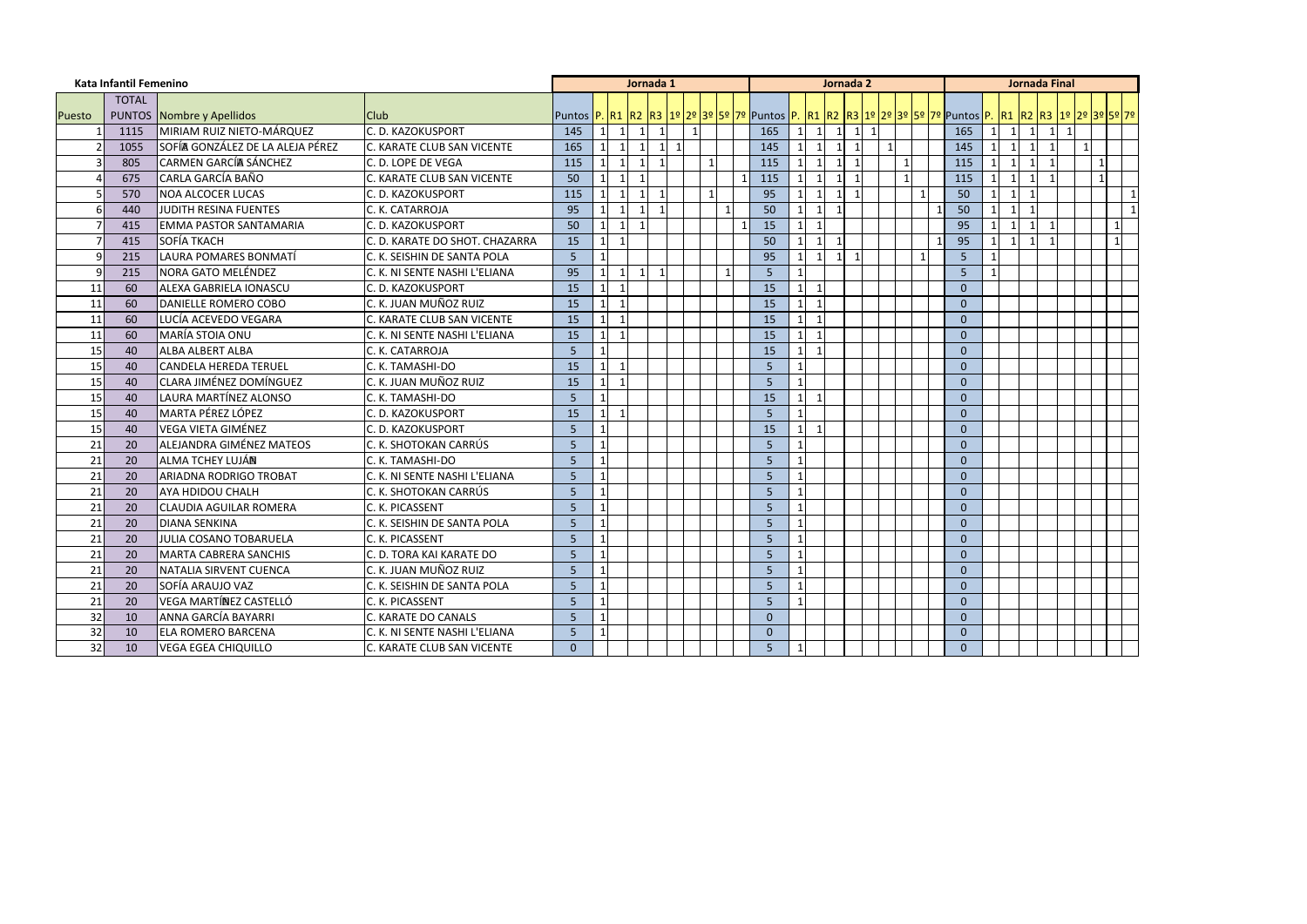|        | Kata Infantil Femenino |                                  |                                   |                                                                                                                                    |                         |                              | Jornada 1 |  |  |                |              |                         | Jornada 2                                  |              |                         |                |              |                | <b>Jornada Final</b>     |              |              |  |
|--------|------------------------|----------------------------------|-----------------------------------|------------------------------------------------------------------------------------------------------------------------------------|-------------------------|------------------------------|-----------|--|--|----------------|--------------|-------------------------|--------------------------------------------|--------------|-------------------------|----------------|--------------|----------------|--------------------------|--------------|--------------|--|
|        | <b>TOTAL</b>           |                                  |                                   |                                                                                                                                    |                         |                              |           |  |  |                |              |                         |                                            |              |                         |                |              |                |                          |              |              |  |
| Puesto |                        | <b>PUNTOS Nombre y Apellidos</b> | <b>Club</b>                       | Puntos  P.  R1  R2  R3  1º  2º  3º  5º  7º  Puntos  P.  R1  R2  R3  1º  2º  3º  5º  7º  Puntos  P.  R1  R2  R3  1º  2º  3º  5º  7º |                         |                              |           |  |  |                |              |                         |                                            |              |                         |                |              |                |                          |              |              |  |
|        | 1115                   | MIRIAM RUIZ NIETO-MÁRQUEZ        | C. D. KAZOKUSPORT                 | 145                                                                                                                                |                         | $\mathbf{1}$<br>$\vert$ 1    |           |  |  | 165            |              | $\mathbf{1}$            | $-11$<br>$1\overline{ }$                   | $\mathbf{1}$ |                         | 165            | $\mathbf{1}$ | $\overline{1}$ | $\mathbf{1}$             | $\mathbf{1}$ |              |  |
|        | 1055                   | SOFÍA GONZÁLEZ DE LA ALEJA PÉREZ | C. KARATE CLUB SAN VICENTE        | 165                                                                                                                                |                         | $\mathbf{1}$                 |           |  |  | 145            |              | $\overline{1}$          |                                            |              |                         | 145            |              |                | -1                       |              |              |  |
|        | 805                    | CARMEN GARCÍA SÁNCHEZ            | C. D. LOPE DE VEGA                | 115                                                                                                                                |                         | $\mathbf{1}$                 |           |  |  | 115            |              |                         |                                            |              |                         | 115            |              |                |                          |              | $\mathbf 1$  |  |
|        | 675                    | CARLA GARCÍA BAÑO                | <b>C. KARATE CLUB SAN VICENTE</b> | 50                                                                                                                                 |                         | $\mathbf{1}$<br>$\mathbf{1}$ |           |  |  | 115            |              | $\overline{1}$          | $\mathbf{1}$<br>-1                         |              | $\overline{\mathbf{1}}$ | 115            | $\mathbf 1$  |                | $\overline{\phantom{0}}$ |              | $\mathbf{1}$ |  |
|        | 570                    | <b>NOA ALCOCER LUCAS</b>         | C. D. KAZOKUSPORT                 | 115                                                                                                                                |                         | $\mathbf{1}$                 |           |  |  | 95             |              |                         |                                            |              |                         | 50             |              |                |                          |              |              |  |
|        | 440                    | JUDITH RESINA FUENTES            | C. K. CATARROJA                   | 95                                                                                                                                 |                         | $\mathbf{1}$                 |           |  |  | 50             |              | $\mathbf{1}$            |                                            |              |                         | 50             | $\mathbf 1$  |                |                          |              |              |  |
|        | 415                    | <b>EMMA PASTOR SANTAMARIA</b>    | C. D. KAZOKUSPORT                 | 50                                                                                                                                 |                         | $\mathbf{1}$<br>$\mathbf{1}$ |           |  |  | 15             |              | $\overline{\mathbf{1}}$ |                                            |              |                         | 95             |              |                |                          |              |              |  |
|        | 415                    | <b>SOFÍA TKACH</b>               | C. D. KARATE DO SHOT. CHAZARRA    | 15                                                                                                                                 |                         | $\mathbf{1}$                 |           |  |  | 50             |              | $\overline{1}$          | $\mathbf 1$                                |              |                         | 95             |              |                | $\overline{\phantom{0}}$ |              |              |  |
|        | 215                    | LAURA POMARES BONMATÍ            | C. K. SEISHIN DE SANTA POLA       | 5                                                                                                                                  |                         |                              |           |  |  | 95             |              | $\overline{1}$          | $\overline{\mathbf{1}}$<br>$1\overline{ }$ |              |                         | 5              |              |                |                          |              |              |  |
|        | 215                    | <b>NORA GATO MELÉNDEZ</b>        | C. K. NI SENTE NASHI L'ELIANA     | 95                                                                                                                                 |                         | $\mathbf 1$<br>$\mathbf 1$   |           |  |  | 5              |              |                         |                                            |              |                         | 5              |              |                |                          |              |              |  |
| 11     | 60                     | ALEXA GABRIELA IONASCU           | C. D. KAZOKUSPORT                 | 15                                                                                                                                 |                         |                              |           |  |  | 15             |              | $\overline{\mathbf{1}}$ |                                            |              |                         | $\mathbf{0}$   |              |                |                          |              |              |  |
| 11     | 60                     | DANIELLE ROMERO COBO             | C. K. JUAN MUÑOZ RUIZ             | 15                                                                                                                                 |                         | $\mathbf{1}$                 |           |  |  | 15             | -1 I         | $\overline{1}$          |                                            |              |                         | $\Omega$       |              |                |                          |              |              |  |
| 11     | 60                     | LUCÍA ACEVEDO VEGARA             | <b>C. KARATE CLUB SAN VICENTE</b> | 15                                                                                                                                 |                         | $\mathbf 1$                  |           |  |  | 15             |              | $\overline{1}$          |                                            |              |                         | $\Omega$       |              |                |                          |              |              |  |
| 11     | 60                     | <b>MARÍA STOIA ONU</b>           | C. K. NI SENTE NASHI L'ELIANA     | 15                                                                                                                                 | $\overline{\mathbf{1}}$ | $\mathbf 1$                  |           |  |  | 15             |              | $\overline{1}$          |                                            |              |                         | $\overline{0}$ |              |                |                          |              |              |  |
| 15     | 40                     | <b>ALBA ALBERT ALBA</b>          | C. K. CATARROJA                   | -5                                                                                                                                 |                         |                              |           |  |  | 15             |              | $\overline{1}$          |                                            |              |                         | $\mathbf{0}$   |              |                |                          |              |              |  |
| 15     | 40                     | <b>CANDELA HEREDA TERUEL</b>     | C. K. TAMASHI-DO                  | 15                                                                                                                                 |                         | $\mathbf{1}$                 |           |  |  | 5              |              |                         |                                            |              |                         | $\mathbf{0}$   |              |                |                          |              |              |  |
| 15     | 40                     | <b>CLARA JIMÉNEZ DOMÍNGUEZ</b>   | C. K. JUAN MUÑOZ RUIZ             | <b>15</b>                                                                                                                          | $\mathbf 1$             | $\mathbf{1}$                 |           |  |  | 5              |              |                         |                                            |              |                         | $\mathbf{0}$   |              |                |                          |              |              |  |
| 15     | 40                     | LAURA MARTÍNEZ ALONSO            | C. K. TAMASHI-DO                  | -5                                                                                                                                 |                         |                              |           |  |  | 15             |              | -1                      |                                            |              |                         | $\Omega$       |              |                |                          |              |              |  |
| 15     | 40                     | MARTA PÉREZ LÓPEZ                | C. D. KAZOKUSPORT                 | 15                                                                                                                                 | $\overline{\mathbf{1}}$ | $\mathbf 1$                  |           |  |  | 5              |              |                         |                                            |              |                         | $\Omega$       |              |                |                          |              |              |  |
| 15     | 40                     | <b>VEGA VIETA GIMÉNEZ</b>        | C. D. KAZOKUSPORT                 | 5                                                                                                                                  |                         |                              |           |  |  | 15             | 1            | $\mathbf{1}$            |                                            |              |                         | $\mathbf{0}$   |              |                |                          |              |              |  |
| 21     | 20                     | ALEJANDRA GIMÉNEZ MATEOS         | C. K. SHOTOKAN CARRÚS             | 5                                                                                                                                  |                         |                              |           |  |  | 5              |              |                         |                                            |              |                         | $\Omega$       |              |                |                          |              |              |  |
| 21     | 20                     | <b>I</b> ALMA TCHEY LUJÁN        | C. K. TAMASHI-DO                  | 5                                                                                                                                  | $\mathbf 1$             |                              |           |  |  | 5              |              |                         |                                            |              |                         | $\overline{0}$ |              |                |                          |              |              |  |
| 21     | 20                     | <b>ARIADNA RODRIGO TROBAT</b>    | C. K. NI SENTE NASHI L'ELIANA     | .5                                                                                                                                 |                         |                              |           |  |  | 5.             |              |                         |                                            |              |                         | $\Omega$       |              |                |                          |              |              |  |
| 21     | 20                     | <b>AYA HDIDOU CHALH</b>          | C. K. SHOTOKAN CARRÚS             | 5                                                                                                                                  |                         |                              |           |  |  | 5              |              |                         |                                            |              |                         | $\mathbf{0}$   |              |                |                          |              |              |  |
| 21     | 20                     | <b>CLAUDIA AGUILAR ROMERA</b>    | C. K. PICASSENT                   | .5                                                                                                                                 | -1                      |                              |           |  |  | 5              |              |                         |                                            |              |                         | $\mathbf{0}$   |              |                |                          |              |              |  |
| 21     | 20                     | <b>DIANA SENKINA</b>             | C. K. SEISHIN DE SANTA POLA       | 5                                                                                                                                  | $\overline{\mathbf{1}}$ |                              |           |  |  | 5              |              |                         |                                            |              |                         | $\Omega$       |              |                |                          |              |              |  |
| 21     | 20                     | <b>JULIA COSANO TOBARUELA</b>    | C. K. PICASSENT                   | 5                                                                                                                                  |                         |                              |           |  |  | 5              |              |                         |                                            |              |                         | $\Omega$       |              |                |                          |              |              |  |
| 21     | 20                     | MARTA CABRERA SANCHIS            | C. D. TORA KAI KARATE DO          | 5                                                                                                                                  |                         |                              |           |  |  | 5              |              |                         |                                            |              |                         | $\mathbf{0}$   |              |                |                          |              |              |  |
| 21     | 20                     | NATALIA SIRVENT CUENCA           | C. K. JUAN MUÑOZ RUIZ             | 5                                                                                                                                  | $\mathbf{1}$            |                              |           |  |  | 5              | $\vert$ 1    |                         |                                            |              |                         | $\mathbf{0}$   |              |                |                          |              |              |  |
| 21     | 20                     | SOFÍA ARAUJO VAZ                 | C. K. SEISHIN DE SANTA POLA       | $5\phantom{1}$                                                                                                                     | $\mathbf{1}$            |                              |           |  |  | 5              | $\mathbf{1}$ |                         |                                            |              |                         | $\overline{0}$ |              |                |                          |              |              |  |
| 21     | 20                     | VEGA MARTÍNEZ CASTELLÓ           | C. K. PICASSENT                   | 5                                                                                                                                  |                         |                              |           |  |  | 5 <sub>1</sub> |              |                         |                                            |              |                         | $\overline{0}$ |              |                |                          |              |              |  |
| 32     | 10                     | ANNA GARCÍA BAYARRI              | C. KARATE DO CANALS               | 5                                                                                                                                  |                         |                              |           |  |  | $\mathbf{0}$   |              |                         |                                            |              |                         | $\overline{0}$ |              |                |                          |              |              |  |
| 32     | 10                     | <b>ELA ROMERO BARCENA</b>        | C. K. NI SENTE NASHI L'ELIANA     | 5                                                                                                                                  | $\mathbf{1}$            |                              |           |  |  | $\overline{0}$ |              |                         |                                            |              |                         | $\overline{0}$ |              |                |                          |              |              |  |
| 32     | 10                     | <b>VEGA EGEA CHIQUILLO</b>       | C. KARATE CLUB SAN VICENTE        | $\mathbf{0}$                                                                                                                       |                         |                              |           |  |  | 5 <sub>1</sub> |              |                         |                                            |              |                         | $\overline{0}$ |              |                |                          |              |              |  |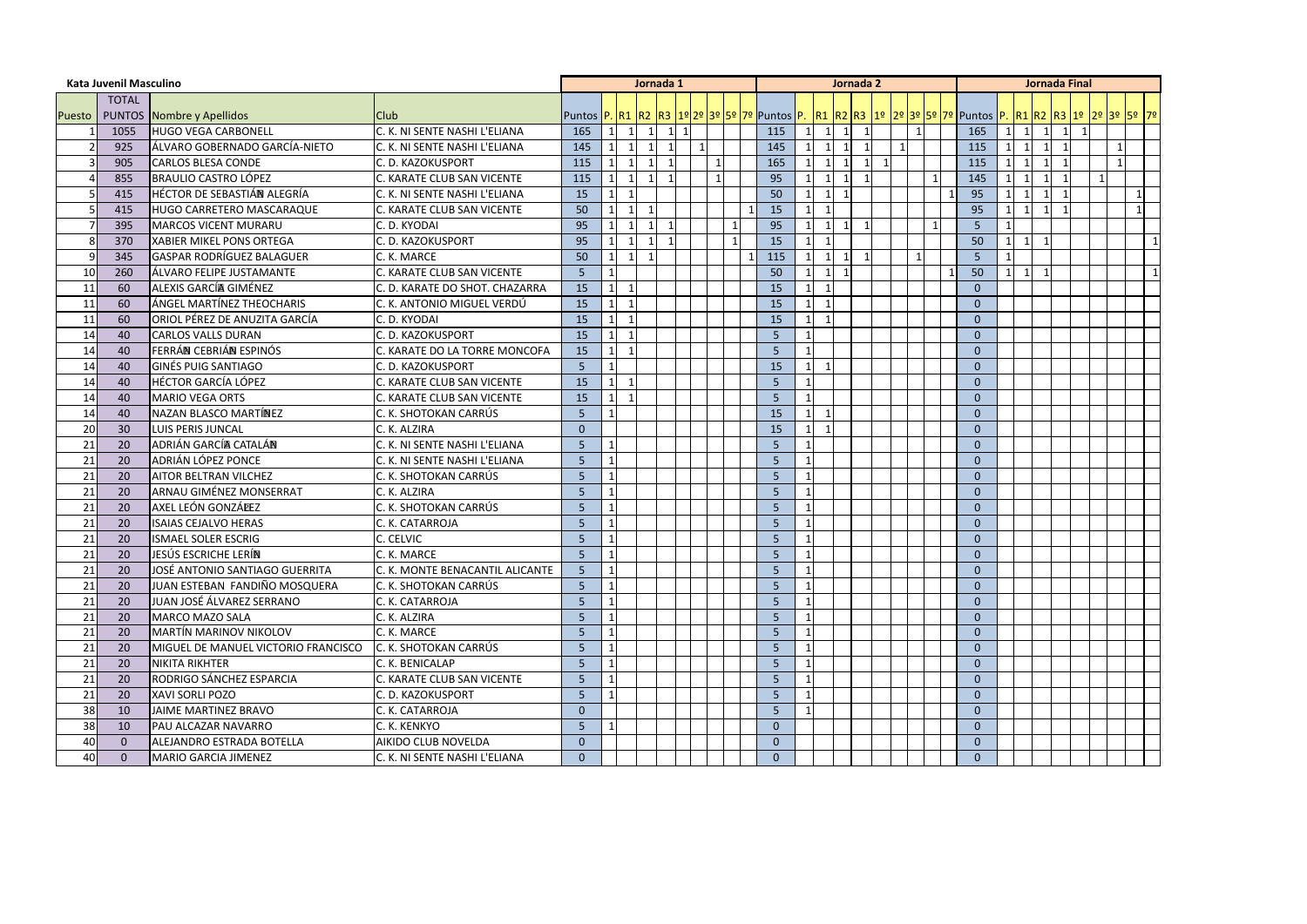|    | <b>Kata Juvenil Masculino</b> |                                        |                                 |                |                 |                | Jornada 1      |                   |              |  |                |                              | Jornada 2      |                          |    |              |                                                                                                                                   |    |                |             | <b>Jornada Final</b>    |  |                |
|----|-------------------------------|----------------------------------------|---------------------------------|----------------|-----------------|----------------|----------------|-------------------|--------------|--|----------------|------------------------------|----------------|--------------------------|----|--------------|-----------------------------------------------------------------------------------------------------------------------------------|----|----------------|-------------|-------------------------|--|----------------|
|    | <b>TOTAL</b>                  |                                        |                                 |                |                 |                |                |                   |              |  |                |                              |                |                          |    |              |                                                                                                                                   |    |                |             |                         |  |                |
|    |                               | Puesto   PUNTOS Nombre y Apellidos     | <b>Club</b>                     |                |                 |                |                |                   |              |  |                |                              |                |                          |    |              | Puntos  P.  R1  R2  R3  1º 2º  3º  5º  7º  Puntos  P.   R1  R2  R3  1º  2º 3º  5º  7º  Puntos  P.  R1  R2  R3  1º  2º  3º  5º  7º |    |                |             |                         |  |                |
|    | 1055                          | <b>HUGO VEGA CARBONELL</b>             | C. K. NI SENTE NASHI L'ELIANA   | 165            | $1\vert$        | $\overline{1}$ | $\vert$ 1      | $1 \vert 1 \vert$ |              |  | 115            | $\mathbf{1}$<br>$\mathbf{1}$ | $\overline{1}$ | $\overline{\phantom{0}}$ |    | $\mathbf{1}$ | 165                                                                                                                               | 11 | $\overline{1}$ |             | $\overline{1}$          |  |                |
|    | 925                           | ÁLVARO GOBERNADO GARCÍA-NIETO          | C. K. NI SENTE NASHI L'ELIANA   | 145            |                 |                | $\overline{1}$ |                   | $\mathbf{1}$ |  | 145            | $\mathbf{1}$                 |                | - 1                      | -1 |              | 115                                                                                                                               |    |                |             |                         |  |                |
|    | 905                           | <b>CARLOS BLESA CONDE</b>              | C. D. KAZOKUSPORT               | 115            |                 |                | $\overline{1}$ |                   |              |  | 165            |                              |                | -1                       |    |              | 115                                                                                                                               |    |                |             |                         |  |                |
|    | 855                           | <b>BRAULIO CASTRO LÓPEZ</b>            | C. KARATE CLUB SAN VICENTE      | 115            |                 | $\vert$ 1      | $\mathbf{1}$   |                   |              |  | 95             | $\mathbf{1}$                 | $\overline{1}$ |                          |    |              | 145                                                                                                                               |    |                |             |                         |  |                |
|    | 415                           | HÉCTOR DE SEBASTIÁN ALEGRÍA            | C. K. NI SENTE NASHI L'ELIANA   | 15             |                 | -1             |                |                   |              |  | 50             | $\mathbf{1}$                 |                |                          |    |              | 95                                                                                                                                |    |                |             |                         |  |                |
|    | 415                           | HUGO CARRETERO MASCARAQUE              | C. KARATE CLUB SAN VICENTE      | 50             |                 | $\mathbf{1}$   | $\mathbf{1}$   |                   |              |  | 15             | $\mathbf{1}$                 |                |                          |    |              | 95                                                                                                                                |    | $\mathbf{1}$   | $\mathbf 1$ | $\overline{\mathbf{1}}$ |  | $\overline{1}$ |
|    | 395                           | <b>MARCOS VICENT MURARU</b>            | C. D. KYODAI                    | 95             |                 |                | $\overline{1}$ |                   |              |  | 95             | $\mathbf{1}$                 |                | - 1                      |    |              | 5 <sub>5</sub>                                                                                                                    |    |                |             |                         |  |                |
| 8  | 370                           | <b>XABIER MIKEL PONS ORTEGA</b>        | C. D. KAZOKUSPORT               | 95             |                 |                | $\mathbf{1}$   |                   |              |  | 15             | $\mathbf{1}$                 |                |                          |    |              | 50                                                                                                                                |    |                |             |                         |  | $\overline{1}$ |
| 9  | 345                           | <b>GASPAR RODRÍGUEZ BALAGUER</b>       | C. K. MARCE                     | 50             | $\mathbf{1}$    | $\mathbf{1}$   | $\overline{1}$ |                   |              |  | 115            | 1                            | $\overline{1}$ | - 1                      |    | -1           | 5                                                                                                                                 |    |                |             |                         |  |                |
| 10 | 260                           | ÁLVARO FELIPE JUSTAMANTE               | C. KARATE CLUB SAN VICENTE      | 5              |                 |                |                |                   |              |  | 50             | $\mathbf{1}$                 |                |                          |    |              | 50                                                                                                                                |    | $\mathbf 1$    |             |                         |  |                |
| 11 | 60                            | ALEXIS GARCÍA GIMÉNEZ                  | C. D. KARATE DO SHOT. CHAZARRA  | 15             |                 | -1             |                |                   |              |  | 15             | $\mathbf{1}$                 |                |                          |    |              | $\overline{0}$                                                                                                                    |    |                |             |                         |  |                |
| 11 | 60                            | LÁNGEL MARTÍNEZ THEOCHARIS             | C. K. ANTONIO MIGUEL VERDÚ      | 15             | $\mathbf 1$     | $\mathbf{1}$   |                |                   |              |  | 15             | $\mathbf{1}$                 |                |                          |    |              | $\overline{0}$                                                                                                                    |    |                |             |                         |  |                |
| 11 | 60                            | <b>l</b> ORIOL PÉREZ DE ANUZITA GARCÍA | C. D. KYODAI                    | 15             |                 | -1             |                |                   |              |  | 15             | -1                           |                |                          |    |              | $\Omega$                                                                                                                          |    |                |             |                         |  |                |
| 14 | 40                            | <b>CARLOS VALLS DURAN</b>              | C. D. KAZOKUSPORT               | 15             |                 |                |                |                   |              |  | 5              |                              |                |                          |    |              | $\overline{0}$                                                                                                                    |    |                |             |                         |  |                |
| 14 | 40                            | FERRÁN CEBRIÁN ESPINÓS                 | . KARATE DO LA TORRE MONCOFA    | 15             | $\mathbf{1}$    | -1             |                |                   |              |  | 5              |                              |                |                          |    |              | $\overline{0}$                                                                                                                    |    |                |             |                         |  |                |
| 14 | 40                            | <b>GINÉS PUIG SANTIAGO</b>             | C. D. KAZOKUSPORT               | 5              |                 |                |                |                   |              |  | 15             | $\overline{1}$               |                |                          |    |              | $\overline{0}$                                                                                                                    |    |                |             |                         |  |                |
| 14 | 40                            | <b>HÉCTOR GARCÍA LÓPEZ</b>             | C. KARATE CLUB SAN VICENTE      | 15             | $\mathbf{1}$    | $\mathbf{1}$   |                |                   |              |  | 5              |                              |                |                          |    |              | $\overline{0}$                                                                                                                    |    |                |             |                         |  |                |
| 14 | 40                            | <b>MARIO VEGA ORTS</b>                 | C. KARATE CLUB SAN VICENTE      | 15             |                 |                |                |                   |              |  | .5             |                              |                |                          |    |              | $\mathbf{0}$                                                                                                                      |    |                |             |                         |  |                |
| 14 | 40                            | NAZAN BLASCO MARTÍNEZ                  | C. K. SHOTOKAN CARRÚS           | 5              |                 |                |                |                   |              |  | 15             | $\mathbf{1}$                 |                |                          |    |              | $\overline{0}$                                                                                                                    |    |                |             |                         |  |                |
| 20 | 30                            | LUIS PERIS JUNCAL                      | C. K. ALZIRA                    | $\mathbf{0}$   |                 |                |                |                   |              |  | 15             |                              |                |                          |    |              | $\overline{0}$                                                                                                                    |    |                |             |                         |  |                |
| 21 | 20                            | ADRIÁN GARCÍA CATALÁN                  | C. K. NI SENTE NASHI L'ELIANA   | 5              |                 |                |                |                   |              |  | 5              |                              |                |                          |    |              | $\overline{0}$                                                                                                                    |    |                |             |                         |  |                |
| 21 | 20                            | ADRIÁN LÓPEZ PONCE                     | C. K. NI SENTE NASHI L'ELIANA   | 5              |                 |                |                |                   |              |  | 5              |                              |                |                          |    |              | $\overline{0}$                                                                                                                    |    |                |             |                         |  |                |
| 21 | 20                            | <b>AITOR BELTRAN VILCHEZ</b>           | C. K. SHOTOKAN CARRÚS           | 5              |                 |                |                |                   |              |  | 5              |                              |                |                          |    |              | $\overline{0}$                                                                                                                    |    |                |             |                         |  |                |
| 21 | 20                            | ARNAU GIMÉNEZ MONSERRAT                | C. K. ALZIRA                    | 5              |                 |                |                |                   |              |  | 5              |                              |                |                          |    |              | $\overline{0}$                                                                                                                    |    |                |             |                         |  |                |
| 21 | 20                            | AXEL LEÓN GONZÁLEZ                     | C. K. SHOTOKAN CARRÚS           | 5              |                 |                |                |                   |              |  | 5              |                              |                |                          |    |              | $\overline{0}$                                                                                                                    |    |                |             |                         |  |                |
| 21 | 20                            | <b>ISAIAS CEJALVO HERAS</b>            | C. K. CATARROJA                 | 5              |                 |                |                |                   |              |  | -5             |                              |                |                          |    |              | $\Omega$                                                                                                                          |    |                |             |                         |  |                |
| 21 | 20                            | <b>ISMAEL SOLER ESCRIG</b>             | C. CELVIC                       | 5              |                 |                |                |                   |              |  | 5              |                              |                |                          |    |              | $\Omega$                                                                                                                          |    |                |             |                         |  |                |
| 21 | 20                            | JESÚS ESCRICHE LERÍN                   | C. K. MARCE                     | 5              |                 |                |                |                   |              |  | 5              |                              |                |                          |    |              | $\overline{0}$                                                                                                                    |    |                |             |                         |  |                |
| 21 | 20                            | JOSÉ ANTONIO SANTIAGO GUERRITA         | C. K. MONTE BENACANTIL ALICANTE | 5              | $\vert 1 \vert$ |                |                |                   |              |  | 5              | $\mathbf{1}$                 |                |                          |    |              | $\mathbf{0}$                                                                                                                      |    |                |             |                         |  |                |
| 21 | 20                            | JUAN ESTEBAN FANDIÑO MOSQUERA          | C. K. SHOTOKAN CARRÚS           | $\overline{5}$ |                 |                |                |                   |              |  | 5              |                              |                |                          |    |              | $\Omega$                                                                                                                          |    |                |             |                         |  |                |
| 21 | 20                            | JUAN JOSÉ ÁLVAREZ SERRANO              | C. K. CATARROJA                 | 5              |                 |                |                |                   |              |  | 5              |                              |                |                          |    |              | $\overline{0}$                                                                                                                    |    |                |             |                         |  |                |
| 21 | 20                            | <b>MARCO MAZO SALA</b>                 | C. K. ALZIRA                    | 5              |                 |                |                |                   |              |  | 5              |                              |                |                          |    |              | $\overline{0}$                                                                                                                    |    |                |             |                         |  |                |
| 21 | 20                            | <b>MARTÍN MARINOV NIKOLOV</b>          | C. K. MARCE                     | 5              |                 |                |                |                   |              |  | 5 <sub>o</sub> |                              |                |                          |    |              | $\overline{0}$                                                                                                                    |    |                |             |                         |  |                |
| 21 | 20                            | MIGUEL DE MANUEL VICTORIO FRANCISCO    | C. K. SHOTOKAN CARRÚS           | 5              |                 |                |                |                   |              |  | -5             |                              |                |                          |    |              | $\mathbf{0}$                                                                                                                      |    |                |             |                         |  |                |
| 21 | 20                            | NIKITA RIKHTER                         | C. K. BENICALAP                 | 5              |                 |                |                |                   |              |  | 5 <sub>o</sub> |                              |                |                          |    |              | $\overline{0}$                                                                                                                    |    |                |             |                         |  |                |
| 21 | 20                            | RODRIGO SÁNCHEZ ESPARCIA               | C. KARATE CLUB SAN VICENTE      | 5              |                 |                |                |                   |              |  | 5 <sub>o</sub> |                              |                |                          |    |              | $\overline{0}$                                                                                                                    |    |                |             |                         |  |                |
| 21 | 20                            | <b>XAVI SORLI POZO</b>                 | C. D. KAZOKUSPORT               | 5              |                 |                |                |                   |              |  | 5              |                              |                |                          |    |              | $\overline{0}$                                                                                                                    |    |                |             |                         |  |                |
| 38 | 10                            | JAIME MARTINEZ BRAVO                   | C. K. CATARROJA                 | $\mathbf{0}$   |                 |                |                |                   |              |  | 5 <sub>o</sub> |                              |                |                          |    |              | $\overline{0}$                                                                                                                    |    |                |             |                         |  |                |
| 38 | 10                            | PAU ALCAZAR NAVARRO                    | C. K. KENKYO                    | 5              |                 |                |                |                   |              |  | $\overline{0}$ |                              |                |                          |    |              | $\overline{0}$                                                                                                                    |    |                |             |                         |  |                |
| 40 | $\overline{0}$                | ALEJANDRO ESTRADA BOTELLA              | AIKIDO CLUB NOVELDA             | $\mathbf{0}$   |                 |                |                |                   |              |  | $\overline{0}$ |                              |                |                          |    |              | $\overline{0}$                                                                                                                    |    |                |             |                         |  |                |
| 40 | $\mathbf 0$                   | <b>MARIO GARCIA JIMENEZ</b>            | C. K. NI SENTE NASHI L'ELIANA   | $\mathbf{0}$   |                 |                |                |                   |              |  | $\overline{0}$ |                              |                |                          |    |              | $\overline{0}$                                                                                                                    |    |                |             |                         |  |                |